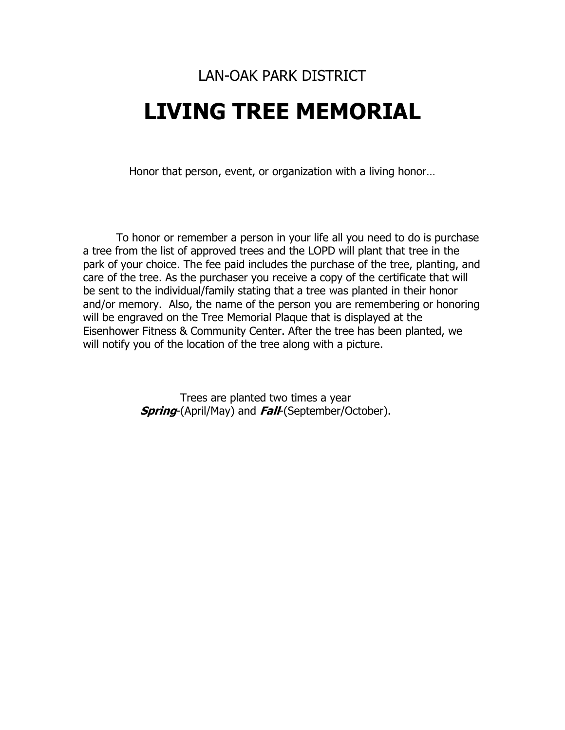# LAN-OAK PARK DISTRICT **LIVING TREE MEMORIAL**

Honor that person, event, or organization with a living honor…

To honor or remember a person in your life all you need to do is purchase a tree from the list of approved trees and the LOPD will plant that tree in the park of your choice. The fee paid includes the purchase of the tree, planting, and care of the tree. As the purchaser you receive a copy of the certificate that will be sent to the individual/family stating that a tree was planted in their honor and/or memory. Also, the name of the person you are remembering or honoring will be engraved on the Tree Memorial Plaque that is displayed at the Eisenhower Fitness & Community Center. After the tree has been planted, we will notify you of the location of the tree along with a picture.

> Trees are planted two times a year **Spring**-(April/May) and **Fall**-(September/October).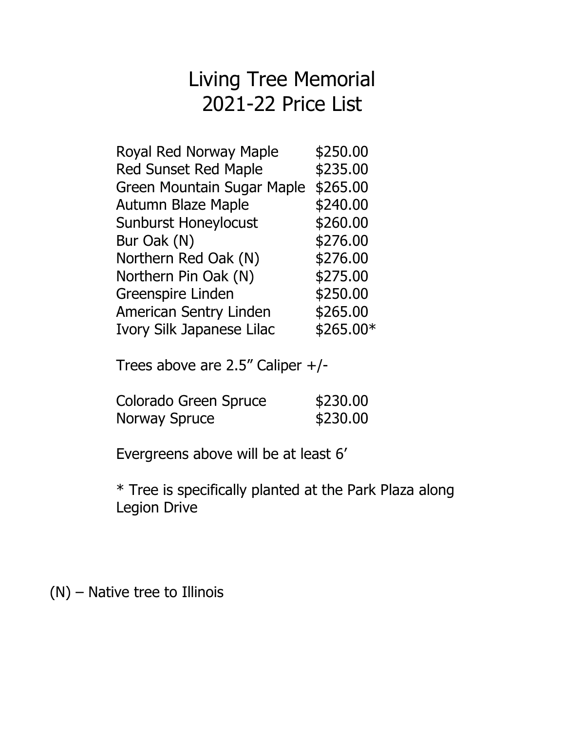# Living Tree Memorial 2021-22 Price List

| Royal Red Norway Maple        | \$250.00  |
|-------------------------------|-----------|
| <b>Red Sunset Red Maple</b>   | \$235.00  |
| Green Mountain Sugar Maple    | \$265.00  |
| <b>Autumn Blaze Maple</b>     | \$240.00  |
| <b>Sunburst Honeylocust</b>   | \$260.00  |
| Bur Oak (N)                   | \$276.00  |
| Northern Red Oak (N)          | \$276.00  |
| Northern Pin Oak (N)          | \$275.00  |
| <b>Greenspire Linden</b>      | \$250.00  |
| <b>American Sentry Linden</b> | \$265.00  |
| Ivory Silk Japanese Lilac     | \$265.00* |
|                               |           |

Trees above are 2.5" Caliper +/-

| Colorado Green Spruce | \$230.00 |
|-----------------------|----------|
| Norway Spruce         | \$230.00 |

Evergreens above will be at least 6'

\* Tree is specifically planted at the Park Plaza along Legion Drive

(N) – Native tree to Illinois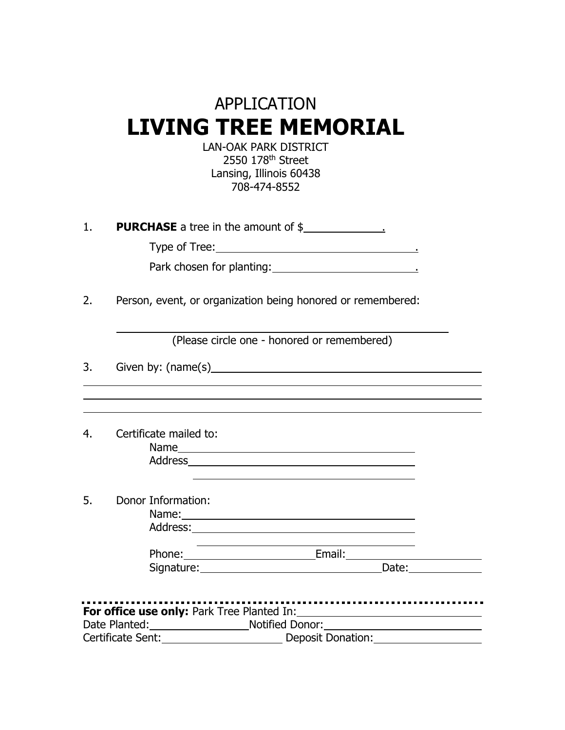# APPLICATION **LIVING TREE MEMORIAL**

LAN-OAK PARK DISTRICT 2550 178th Street Lansing, Illinois 60438 708-474-8552

1. **PURCHASE** a tree in the amount of \$

Type of Tree: .

| Park chosen for planting: |  |
|---------------------------|--|
|                           |  |

2. Person, event, or organization being honored or remembered:

(Please circle one - honored or remembered)

3. Given by: (name(s)

4. Certificate mailed to:

Name Address

5. Donor Information:

| ivame:   |  |
|----------|--|
| Address: |  |

Phone: Email: Signature: Date:

| For office use only: Park Tree Planted In: |                   |  |  |  |
|--------------------------------------------|-------------------|--|--|--|
| Date Planted:                              | Notified Donor:   |  |  |  |
| Certificate Sent:                          | Deposit Donation: |  |  |  |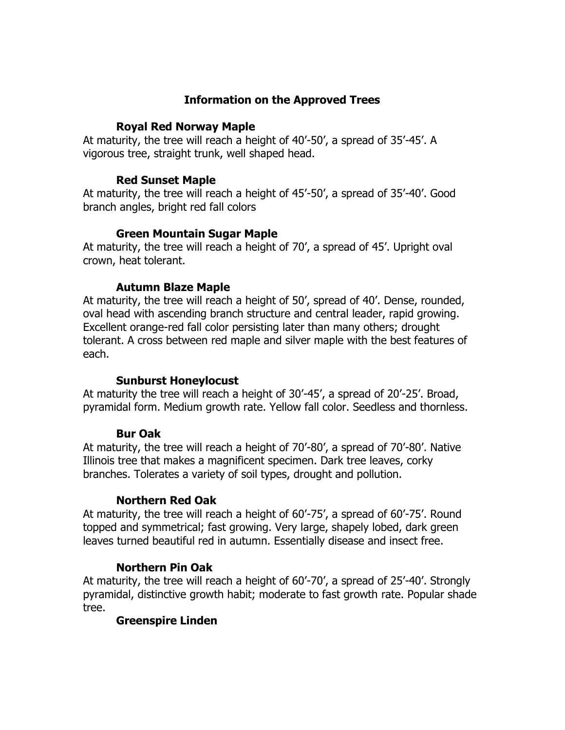# **Information on the Approved Trees**

#### **Royal Red Norway Maple**

At maturity, the tree will reach a height of 40'-50', a spread of 35'-45'. A vigorous tree, straight trunk, well shaped head.

### **Red Sunset Maple**

At maturity, the tree will reach a height of 45'-50', a spread of 35'-40'. Good branch angles, bright red fall colors

# **Green Mountain Sugar Maple**

At maturity, the tree will reach a height of 70', a spread of 45'. Upright oval crown, heat tolerant.

# **Autumn Blaze Maple**

At maturity, the tree will reach a height of 50', spread of 40'. Dense, rounded, oval head with ascending branch structure and central leader, rapid growing. Excellent orange-red fall color persisting later than many others; drought tolerant. A cross between red maple and silver maple with the best features of each.

#### **Sunburst Honeylocust**

At maturity the tree will reach a height of 30'-45', a spread of 20'-25'. Broad, pyramidal form. Medium growth rate. Yellow fall color. Seedless and thornless.

#### **Bur Oak**

At maturity, the tree will reach a height of 70'-80', a spread of 70'-80'. Native Illinois tree that makes a magnificent specimen. Dark tree leaves, corky branches. Tolerates a variety of soil types, drought and pollution.

# **Northern Red Oak**

At maturity, the tree will reach a height of 60'-75', a spread of 60'-75'. Round topped and symmetrical; fast growing. Very large, shapely lobed, dark green leaves turned beautiful red in autumn. Essentially disease and insect free.

# **Northern Pin Oak**

At maturity, the tree will reach a height of 60'-70', a spread of 25'-40'. Strongly pyramidal, distinctive growth habit; moderate to fast growth rate. Popular shade tree.

# **Greenspire Linden**